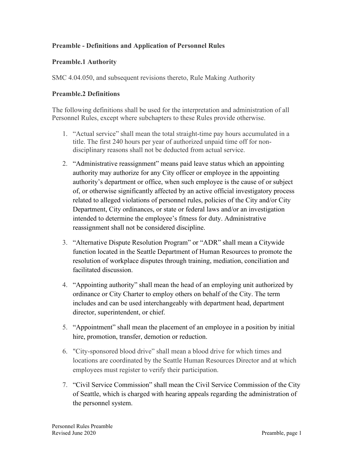## **Preamble - Definitions and Application of Personnel Rules**

## **Preamble.1 Authority**

SMC 4.04.050, and subsequent revisions thereto, Rule Making Authority

## **Preamble.2 Definitions**

The following definitions shall be used for the interpretation and administration of all Personnel Rules, except where subchapters to these Rules provide otherwise.

- 1. "Actual service" shall mean the total straight-time pay hours accumulated in a title. The first 240 hours per year of authorized unpaid time off for nondisciplinary reasons shall not be deducted from actual service.
- 2. "Administrative reassignment" means paid leave status which an appointing authority may authorize for any City officer or employee in the appointing authority's department or office, when such employee is the cause of or subject of, or otherwise significantly affected by an active official investigatory process related to alleged violations of personnel rules, policies of the City and/or City Department, City ordinances, or state or federal laws and/or an investigation intended to determine the employee's fitness for duty. Administrative reassignment shall not be considered discipline.
- 3. "Alternative Dispute Resolution Program" or "ADR" shall mean a Citywide function located in the Seattle Department of Human Resources to promote the resolution of workplace disputes through training, mediation, conciliation and facilitated discussion.
- 4. "Appointing authority" shall mean the head of an employing unit authorized by ordinance or City Charter to employ others on behalf of the City. The term includes and can be used interchangeably with department head, department director, superintendent, or chief.
- 5. "Appointment" shall mean the placement of an employee in a position by initial hire, promotion, transfer, demotion or reduction.
- 6. "City-sponsored blood drive" shall mean a blood drive for which times and locations are coordinated by the Seattle Human Resources Director and at which employees must register to verify their participation.
- 7. "Civil Service Commission" shall mean the Civil Service Commission of the City of Seattle, which is charged with hearing appeals regarding the administration of the personnel system.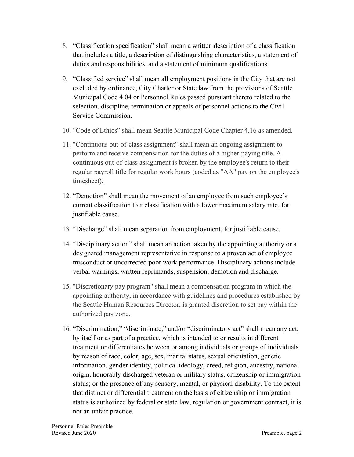- 8. "Classification specification" shall mean a written description of a classification that includes a title, a description of distinguishing characteristics, a statement of duties and responsibilities, and a statement of minimum qualifications.
- 9. "Classified service" shall mean all employment positions in the City that are not excluded by ordinance, City Charter or State law from the provisions of Seattle Municipal Code 4.04 or Personnel Rules passed pursuant thereto related to the selection, discipline, termination or appeals of personnel actions to the Civil Service Commission.
- 10. "Code of Ethics" shall mean Seattle Municipal Code Chapter 4.16 as amended.
- 11. "Continuous out-of-class assignment" shall mean an ongoing assignment to perform and receive compensation for the duties of a higher-paying title. A continuous out-of-class assignment is broken by the employee's return to their regular payroll title for regular work hours (coded as "AA" pay on the employee's timesheet).
- 12. "Demotion" shall mean the movement of an employee from such employee's current classification to a classification with a lower maximum salary rate, for justifiable cause.
- 13. "Discharge" shall mean separation from employment, for justifiable cause.
- 14. "Disciplinary action" shall mean an action taken by the appointing authority or a designated management representative in response to a proven act of employee misconduct or uncorrected poor work performance. Disciplinary actions include verbal warnings, written reprimands, suspension, demotion and discharge.
- 15. "Discretionary pay program" shall mean a compensation program in which the appointing authority, in accordance with guidelines and procedures established by the Seattle Human Resources Director, is granted discretion to set pay within the authorized pay zone.
- 16. "Discrimination," "discriminate," and/or "discriminatory act" shall mean any act, by itself or as part of a practice, which is intended to or results in different treatment or differentiates between or among individuals or groups of individuals by reason of race, color, age, sex, marital status, sexual orientation, genetic information, gender identity, political ideology, creed, religion, ancestry, national origin, honorably discharged veteran or military status, citizenship or immigration status; or the presence of any sensory, mental, or physical disability. To the extent that distinct or differential treatment on the basis of citizenship or immigration status is authorized by federal or state law, regulation or government contract, it is not an unfair practice.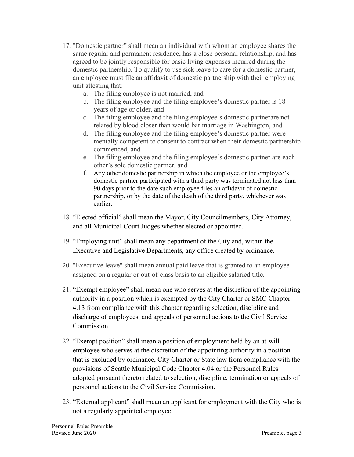- 17. "Domestic partner" shall mean an individual with whom an employee shares the same regular and permanent residence, has a close personal relationship, and has agreed to be jointly responsible for basic living expenses incurred during the domestic partnership. To qualify to use sick leave to care for a domestic partner, an employee must file an affidavit of domestic partnership with their employing unit attesting that:
	- a. The filing employee is not married, and
	- b. The filing employee and the filing employee's domestic partner is 18 years of age or older, and
	- c. The filing employee and the filing employee's domestic partnerare not related by blood closer than would bar marriage in Washington, and
	- d. The filing employee and the filing employee's domestic partner were mentally competent to consent to contract when their domestic partnership commenced, and
	- e. The filing employee and the filing employee's domestic partner are each other's sole domestic partner, and
	- f. Any other domestic partnership in which the employee or the employee's domestic partner participated with a third party was terminated not less than 90 days prior to the date such employee files an affidavit of domestic partnership, or by the date of the death of the third party, whichever was earlier.
- 18. "Elected official" shall mean the Mayor, City Councilmembers, City Attorney, and all Municipal Court Judges whether elected or appointed.
- 19. "Employing unit" shall mean any department of the City and, within the Executive and Legislative Departments, any office created by ordinance.
- 20. "Executive leave" shall mean annual paid leave that is granted to an employee assigned on a regular or out-of-class basis to an eligible salaried title.
- 21. "Exempt employee" shall mean one who serves at the discretion of the appointing authority in a position which is exempted by the City Charter or SMC Chapter 4.13 from compliance with this chapter regarding selection, discipline and discharge of employees, and appeals of personnel actions to the Civil Service **Commission**
- 22. "Exempt position" shall mean a position of employment held by an at-will employee who serves at the discretion of the appointing authority in a position that is excluded by ordinance, City Charter or State law from compliance with the provisions of Seattle Municipal Code Chapter 4.04 or the Personnel Rules adopted pursuant thereto related to selection, discipline, termination or appeals of personnel actions to the Civil Service Commission.
- 23. "External applicant" shall mean an applicant for employment with the City who is not a regularly appointed employee.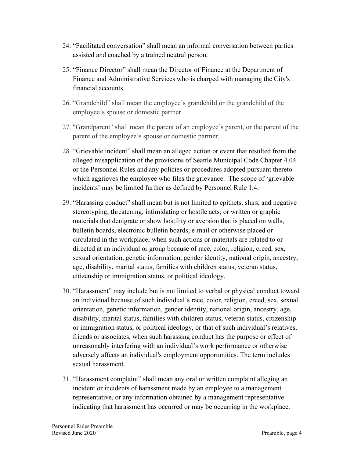- 24. "Facilitated conversation" shall mean an informal conversation between parties assisted and coached by a trained neutral person.
- 25. "Finance Director" shall mean the Director of Finance at the Department of Finance and Administrative Services who is charged with managing the City's financial accounts.
- 26. "Grandchild" shall mean the employee's grandchild or the grandchild of the employee's spouse or domestic partner
- 27. "Grandparent" shall mean the parent of an employee's parent, or the parent of the parent of the employee's spouse or domestic partner.
- 28. "Grievable incident" shall mean an alleged action or event that resulted from the alleged misapplication of the provisions of Seattle Municipal Code Chapter 4.04 or the Personnel Rules and any policies or procedures adopted pursuant thereto which aggrieves the employee who files the grievance. The scope of 'grievable incidents' may be limited further as defined by Personnel Rule 1.4.
- 29. "Harassing conduct" shall mean but is not limited to epithets, slurs, and negative stereotyping; threatening, intimidating or hostile acts; or written or graphic materials that denigrate or show hostility or aversion that is placed on walls, bulletin boards, electronic bulletin boards, e-mail or otherwise placed or circulated in the workplace; when such actions or materials are related to or directed at an individual or group because of race, color, religion, creed, sex, sexual orientation, genetic information, gender identity, national origin, ancestry, age, disability, marital status, families with children status, veteran status, citizenship or immigration status, or political ideology.
- 30. "Harassment" may include but is not limited to verbal or physical conduct toward an individual because of such individual's race, color, religion, creed, sex, sexual orientation, genetic information, gender identity, national origin, ancestry, age, disability, marital status, families with children status, veteran status, citizenship or immigration status, or political ideology, or that of such individual's relatives, friends or associates, when such harassing conduct has the purpose or effect of unreasonably interfering with an individual's work performance or otherwise adversely affects an individual's employment opportunities. The term includes sexual harassment.
- 31. "Harassment complaint" shall mean any oral or written complaint alleging an incident or incidents of harassment made by an employee to a management representative, or any information obtained by a management representative indicating that harassment has occurred or may be occurring in the workplace.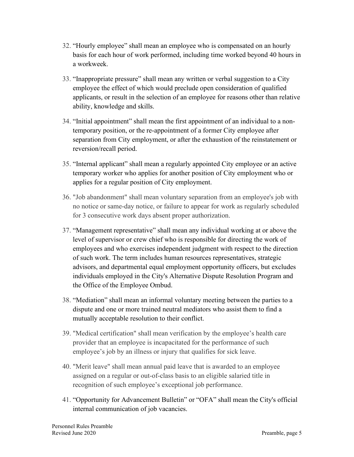- 32. "Hourly employee" shall mean an employee who is compensated on an hourly basis for each hour of work performed, including time worked beyond 40 hours in a workweek.
- 33. "Inappropriate pressure" shall mean any written or verbal suggestion to a City employee the effect of which would preclude open consideration of qualified applicants, or result in the selection of an employee for reasons other than relative ability, knowledge and skills.
- 34. "Initial appointment" shall mean the first appointment of an individual to a nontemporary position, or the re-appointment of a former City employee after separation from City employment, or after the exhaustion of the reinstatement or reversion/recall period.
- 35. "Internal applicant" shall mean a regularly appointed City employee or an active temporary worker who applies for another position of City employment who or applies for a regular position of City employment.
- 36. "Job abandonment" shall mean voluntary separation from an employee's job with no notice or same-day notice, or failure to appear for work as regularly scheduled for 3 consecutive work days absent proper authorization.
- 37. "Management representative" shall mean any individual working at or above the level of supervisor or crew chief who is responsible for directing the work of employees and who exercises independent judgment with respect to the direction of such work. The term includes human resources representatives, strategic advisors, and departmental equal employment opportunity officers, but excludes individuals employed in the City's Alternative Dispute Resolution Program and the Office of the Employee Ombud.
- 38. "Mediation" shall mean an informal voluntary meeting between the parties to a dispute and one or more trained neutral mediators who assist them to find a mutually acceptable resolution to their conflict.
- 39. "Medical certification" shall mean verification by the employee's health care provider that an employee is incapacitated for the performance of such employee's job by an illness or injury that qualifies for sick leave.
- 40. "Merit leave" shall mean annual paid leave that is awarded to an employee assigned on a regular or out-of-class basis to an eligible salaried title in recognition of such employee's exceptional job performance.
- 41. "Opportunity for Advancement Bulletin" or "OFA" shall mean the City's official internal communication of job vacancies.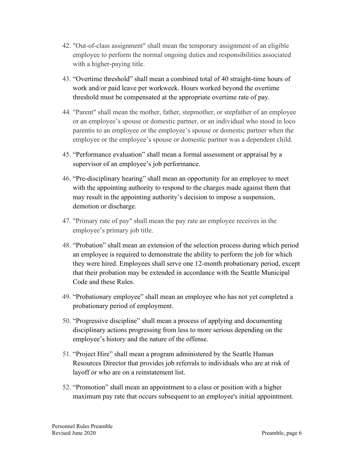- 42. "Out-of-class assignment" shall mean the temporary assignment of an eligible employee to perform the normal ongoing duties and responsibilities associated with a higher-paying title.
- 43. "Overtime threshold" shall mean a combined total of 40 straight-time hours of work and/or paid leave per workweek. Hours worked beyond the overtime threshold must be compensated at the appropriate overtime rate of pay.
- 44. "Parent" shall mean the mother, father, stepmother, or stepfather of an employee or an employee's spouse or domestic partner, or an individual who stood in loco parentis to an employee or the employee's spouse or domestic partner when the employee or the employee's spouse or domestic partner was a dependent child.
- 45. "Performance evaluation" shall mean a formal assessment or appraisal by a supervisor of an employee's job performance.
- 46. "Pre-disciplinary hearing" shall mean an opportunity for an employee to meet with the appointing authority to respond to the charges made against them that may result in the appointing authority's decision to impose a suspension, demotion or discharge.
- 47. "Primary rate of pay" shall mean the pay rate an employee receives in the employee's primary job title.
- 48. "Probation" shall mean an extension of the selection process during which period an employee is required to demonstrate the ability to perform the job for which they were hired. Employees shall serve one 12-month probationary period, except that their probation may be extended in accordance with the Seattle Municipal Code and these Rules.
- 49. "Probationary employee" shall mean an employee who has not yet completed a probationary period of employment.
- 50. "Progressive discipline" shall mean a process of applying and documenting disciplinary actions progressing from less to more serious depending on the employee's history and the nature of the offense.
- 51. "Project Hire" shall mean a program administered by the Seattle Human Resources Director that provides job referrals to individuals who are at risk of layoff or who are on a reinstatement list.
- 52. "Promotion" shall mean an appointment to a class or position with a higher maximum pay rate that occurs subsequent to an employee's initial appointment.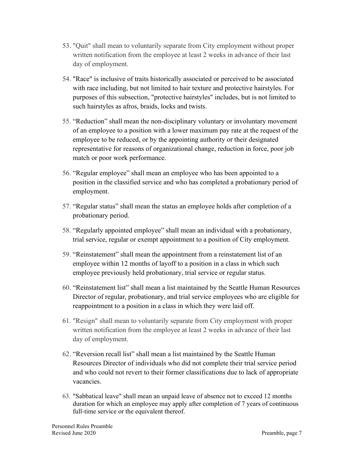- 53. "Quit" shall mean to voluntarily separate from City employment without proper written notification from the employee at least 2 weeks in advance of their last day of employment.
- 54. "Race" is inclusive of traits historically associated or perceived to be associated with race including, but not limited to hair texture and protective hairstyles. For purposes of this subsection, "protective hairstyles" includes, but is not limited to such hairstyles as afros, braids, locks and twists.
- 55. "Reduction" shall mean the non-disciplinary voluntary or involuntary movement of an employee to a position with a lower maximum pay rate at the request of the employee to be reduced, or by the appointing authority or their designated representative for reasons of organizational change, reduction in force, poor job match or poor work performance.
- 56. "Regular employee" shall mean an employee who has been appointed to a position in the classified service and who has completed a probationary period of employment.
- 57. "Regular status" shall mean the status an employee holds after completion of a probationary period.
- 58. "Regularly appointed employee" shall mean an individual with a probationary, trial service, regular or exempt appointment to a position of City employment.
- 59. "Reinstatement" shall mean the appointment from a reinstatement list of an employee within 12 months of layoff to a position in a class in which such employee previously held probationary, trial service or regular status.
- 60. "Reinstatement list" shall mean a list maintained by the Seattle Human Resources Director of regular, probationary, and trial service employees who are eligible for reappointment to a position in a class in which they were laid off.
- 61. "Resign" shall mean to voluntarily separate from City employment with proper written notification from the employee at least 2 weeks in advance of their last day of employment.
- 62. "Reversion recall list" shall mean a list maintained by the Seattle Human Resources Director of individuals who did not complete their trial service period and who could not revert to their former classifications due to lack of appropriate vacancies.
- 63. "Sabbatical leave" shall mean an unpaid leave of absence not to exceed 12 months duration for which an employee may apply after completion of 7 years of continuous full-time service or the equivalent thereof.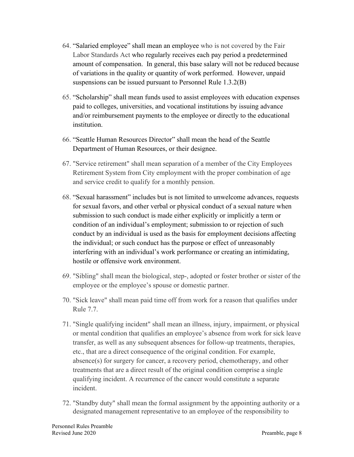- 64. "Salaried employee" shall mean an employee who is not covered by the Fair Labor Standards Act who regularly receives each pay period a predetermined amount of compensation. In general, this base salary will not be reduced because of variations in the quality or quantity of work performed. However, unpaid suspensions can be issued pursuant to Personnel Rule 1.3.2(B)
- 65. "Scholarship" shall mean funds used to assist employees with education expenses paid to colleges, universities, and vocational institutions by issuing advance and/or reimbursement payments to the employee or directly to the educational institution.
- 66. "Seattle Human Resources Director" shall mean the head of the Seattle Department of Human Resources, or their designee.
- 67. "Service retirement" shall mean separation of a member of the City Employees Retirement System from City employment with the proper combination of age and service credit to qualify for a monthly pension.
- 68. "Sexual harassment" includes but is not limited to unwelcome advances, requests for sexual favors, and other verbal or physical conduct of a sexual nature when submission to such conduct is made either explicitly or implicitly a term or condition of an individual's employment; submission to or rejection of such conduct by an individual is used as the basis for employment decisions affecting the individual; or such conduct has the purpose or effect of unreasonably interfering with an individual's work performance or creating an intimidating, hostile or offensive work environment.
- 69. "Sibling" shall mean the biological, step-, adopted or foster brother or sister of the employee or the employee's spouse or domestic partner.
- 70. "Sick leave" shall mean paid time off from work for a reason that qualifies under Rule 7.7.
- 71. "Single qualifying incident" shall mean an illness, injury, impairment, or physical or mental condition that qualifies an employee's absence from work for sick leave transfer, as well as any subsequent absences for follow-up treatments, therapies, etc., that are a direct consequence of the original condition. For example, absence(s) for surgery for cancer, a recovery period, chemotherapy, and other treatments that are a direct result of the original condition comprise a single qualifying incident. A recurrence of the cancer would constitute a separate incident.
- 72. "Standby duty" shall mean the formal assignment by the appointing authority or a designated management representative to an employee of the responsibility to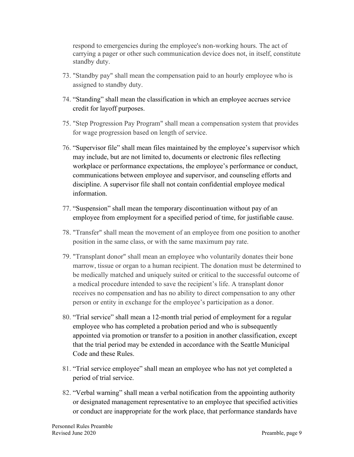respond to emergencies during the employee's non-working hours. The act of carrying a pager or other such communication device does not, in itself, constitute standby duty.

- 73. "Standby pay" shall mean the compensation paid to an hourly employee who is assigned to standby duty.
- 74. "Standing" shall mean the classification in which an employee accrues service credit for layoff purposes.
- 75. "Step Progression Pay Program" shall mean a compensation system that provides for wage progression based on length of service.
- 76. "Supervisor file" shall mean files maintained by the employee's supervisor which may include, but are not limited to, documents or electronic files reflecting workplace or performance expectations, the employee's performance or conduct, communications between employee and supervisor, and counseling efforts and discipline. A supervisor file shall not contain confidential employee medical information.
- 77. "Suspension" shall mean the temporary discontinuation without pay of an employee from employment for a specified period of time, for justifiable cause.
- 78. "Transfer" shall mean the movement of an employee from one position to another position in the same class, or with the same maximum pay rate.
- 79. "Transplant donor" shall mean an employee who voluntarily donates their bone marrow, tissue or organ to a human recipient. The donation must be determined to be medically matched and uniquely suited or critical to the successful outcome of a medical procedure intended to save the recipient's life. A transplant donor receives no compensation and has no ability to direct compensation to any other person or entity in exchange for the employee's participation as a donor.
- 80. "Trial service" shall mean a 12-month trial period of employment for a regular employee who has completed a probation period and who is subsequently appointed via promotion or transfer to a position in another classification, except that the trial period may be extended in accordance with the Seattle Municipal Code and these Rules.
- 81. "Trial service employee" shall mean an employee who has not yet completed a period of trial service.
- 82. "Verbal warning" shall mean a verbal notification from the appointing authority or designated management representative to an employee that specified activities or conduct are inappropriate for the work place, that performance standards have